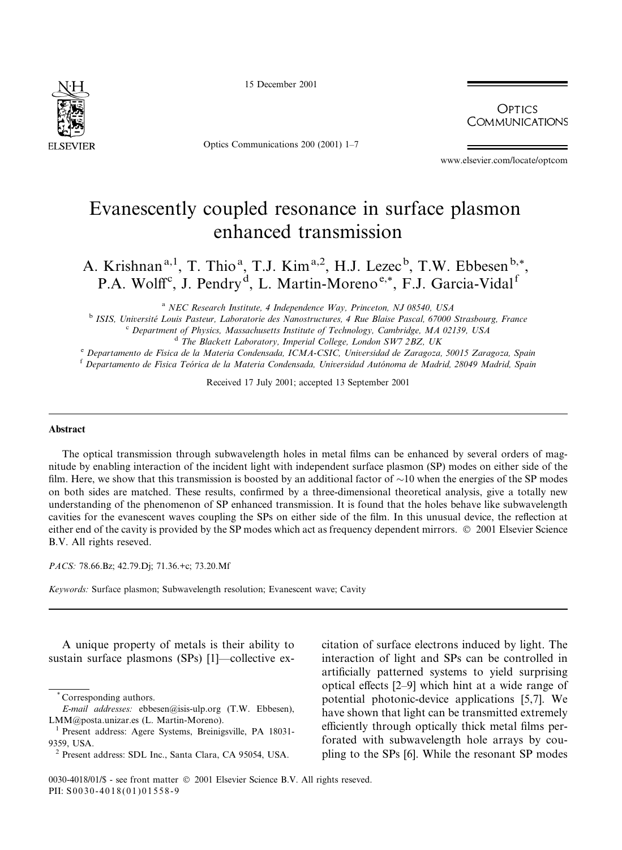15 December 2001



Optics Communications 200 (2001) 1-7

**OPTICS COMMUNICATIONS** 

www.elsevier.com/locate/optcom

## Evanescently coupled resonance in surface plasmon enhanced transmission

A. Krishnan<sup>a,1</sup>, T. Thio<sup>a</sup>, T.J. Kim<sup>a,2</sup>, H.J. Lezec<sup>b</sup>, T.W. Ebbesen<sup>b,\*</sup>. P.A. Wolff<sup>c</sup>, J. Pendry<sup>d</sup>, L. Martin-Moreno<sup>e,\*</sup>, F.J. Garcia-Vidal<sup>f</sup>

<sup>a</sup> NEC Research Institute, 4 Independence Way, Princeton, NJ 08540, USA

<sup>b</sup> ISIS, Université Louis Pasteur, Laboratorie des Nanostructures, 4 Rue Blaise Pascal, 67000 Strasbourg, France

<sup>c</sup> Department of Physics, Massachusetts Institute of Technology, Cambridge, MA 02139, USA

<sup>d</sup> The Blackett Laboratory, Imperial College, London SW7 2BZ, UK

e Departamento de Física de la Materia Condensada, ICMA-CSIC, Universidad de Zaragoza, 50015 Zaragoza, Spain

<sup>f</sup> Departamento de Física Teórica de la Materia Condensada, Universidad Autónoma de Madrid, 28049 Madrid, Spain

Received 17 July 2001; accepted 13 September 2001

## Abstract

The optical transmission through subwavelength holes in metal films can be enhanced by several orders of magnitude by enabling interaction of the incident light with independent surface plasmon (SP) modes on either side of the film. Here, we show that this transmission is boosted by an additional factor of  $\sim$ 10 when the energies of the SP modes on both sides are matched. These results, confirmed by a three-dimensional theoretical analysis, give a totally new understanding of the phenomenon of SP enhanced transmission. It is found that the holes behave like subwavelength cavities for the evanescent waves coupling the SPs on either side of the film. In this unusual device, the reflection at either end of the cavity is provided by the SP modes which act as frequency dependent mirrors. © 2001 Elsevier Science B.V. All rights reseved.

PACS: 78.66.Bz; 42.79.Dj; 71.36.+c; 73.20.Mf

Keywords: Surface plasmon; Subwavelength resolution; Evanescent wave; Cavity

A unique property of metals is their ability to sustain surface plasmons (SPs) [1]—collective excitation of surface electrons induced by light. The interaction of light and SPs can be controlled in artificially patterned systems to yield surprising optical effects [2–9] which hint at a wide range of potential photonic-device applications [5,7]. We have shown that light can be transmitted extremely efficiently through optically thick metal films perforated with subwavelength hole arrays by coupling to the SPs [6]. While the resonant SP modes

Corresponding authors.

E-mail addresses: ebbesen@isis-ulp.org (T.W. Ebbesen), LMM@posta.unizar.es (L. Martin-Moreno).

Present address: Agere Systems, Breinigsville, PA 18031-9359. USA.

<sup>&</sup>lt;sup>2</sup> Present address: SDL Inc., Santa Clara, CA 95054, USA.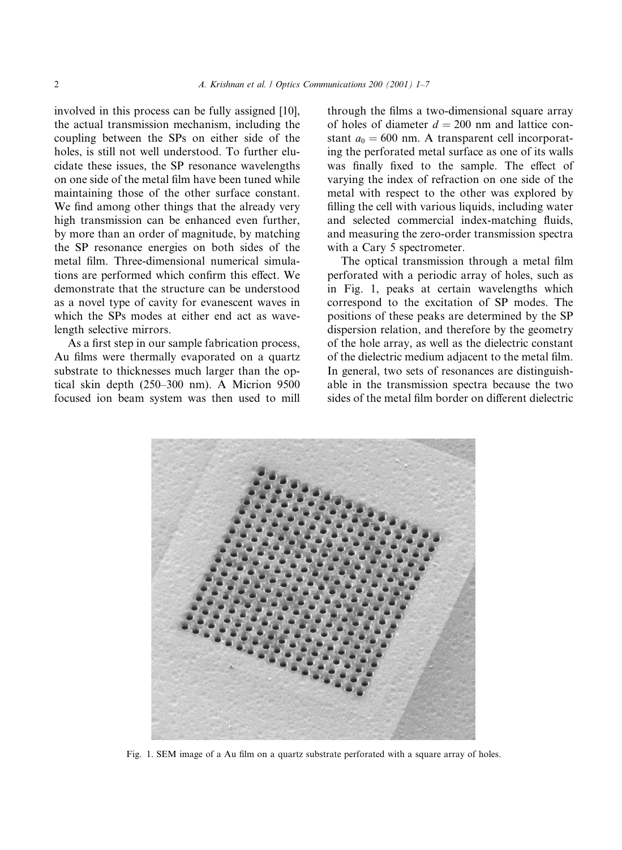involved in this process can be fully assigned [10], the actual transmission mechanism, including the coupling between the SPs on either side of the holes, is still not well understood. To further elucidate these issues, the SP resonance wavelengths on one side of the metal film have been tuned while maintaining those of the other surface constant. We find among other things that the already very high transmission can be enhanced even further, by more than an order of magnitude, by matching the SP resonance energies on both sides of the metal film. Three-dimensional numerical simulations are performed which confirm this effect. We demonstrate that the structure can be understood as a novel type of cavity for evanescent waves in which the SPs modes at either end act as wavelength selective mirrors.

As a first step in our sample fabrication process, Au films were thermally evaporated on a quartz substrate to thicknesses much larger than the optical skin depth  $(250-300)$  nm). A Micrion 9500 focused ion beam system was then used to mill through the films a two-dimensional square array of holes of diameter  $d = 200$  nm and lattice constant  $a_0 = 600$  nm. A transparent cell incorporating the perforated metal surface as one of its walls was finally fixed to the sample. The effect of varying the index of refraction on one side of the metal with respect to the other was explored by filling the cell with various liquids, including water and selected commercial index-matching fluids, and measuring the zero-order transmission spectra with a Cary 5 spectrometer.

The optical transmission through a metal film perforated with a periodic array of holes, such as in Fig. 1, peaks at certain wavelengths which correspond to the excitation of SP modes. The positions of these peaks are determined by the SP dispersion relation, and therefore by the geometry of the hole array, as well as the dielectric constant of the dielectric medium adjacent to the metal film. In general, two sets of resonances are distinguishable in the transmission spectra because the two sides of the metal film border on different dielectric



Fig. 1. SEM image of a Au film on a quartz substrate perforated with a square array of holes.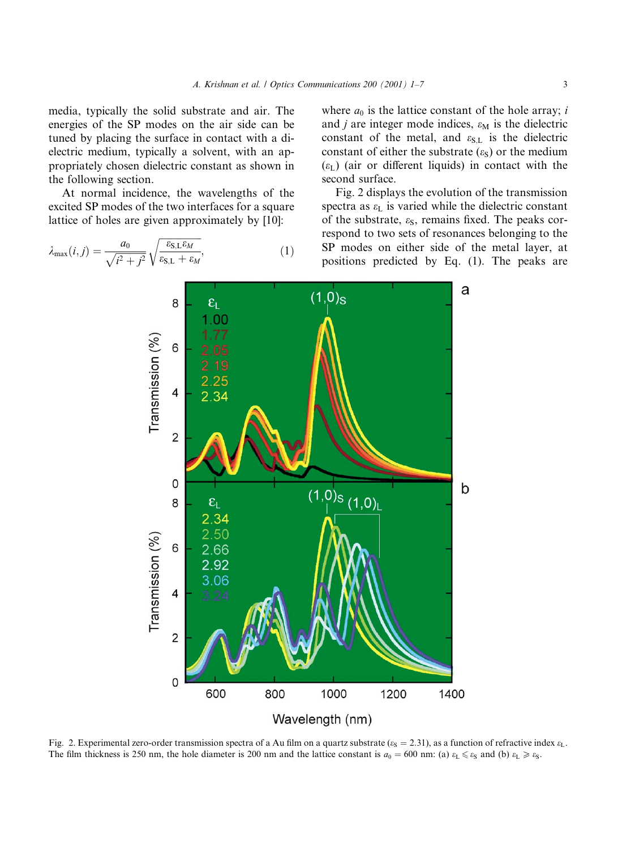media, typically the solid substrate and air. The energies of the SP modes on the air side can be tuned by placing the surface in contact with a dielectric medium, typically a solvent, with an appropriately chosen dielectric constant as shown in the following section.

At normal incidence, the wavelengths of the excited SP modes of the two interfaces for a square lattice of holes are given approximately by [10]:

$$
\lambda_{\max}(i,j) = \frac{a_0}{\sqrt{i^2 + j^2}} \sqrt{\frac{\varepsilon_{\text{S,L}} \varepsilon_M}{\varepsilon_{\text{S,L}} + \varepsilon_M}},\tag{1}
$$

where  $a_0$  is the lattice constant of the hole array; i and *j* are integer mode indices,  $\varepsilon_M$  is the dielectric constant of the metal, and  $\varepsilon_{S,L}$  is the dielectric constant of either the substrate  $(\varepsilon_S)$  or the medium  $(\varepsilon_L)$  (air or different liquids) in contact with the second surface.

Fig. 2 displays the evolution of the transmission spectra as  $\varepsilon_{\rm L}$  is varied while the dielectric constant of the substrate,  $\varepsilon_{S}$ , remains fixed. The peaks correspond to two sets of resonances belonging to the SP modes on either side of the metal layer, at positions predicted by Eq. (1). The peaks are



Fig. 2. Experimental zero-order transmission spectra of a Au film on a quartz substrate ( $\varepsilon_s = 2.31$ ), as a function of refractive index  $\varepsilon_L$ . The film thickness is 250 nm, the hole diameter is 200 nm and the lattice constant is  $a_0 = 600$  nm: (a)  $\varepsilon_L \le \varepsilon_S$  and (b)  $\varepsilon_L \ge \varepsilon_S$ .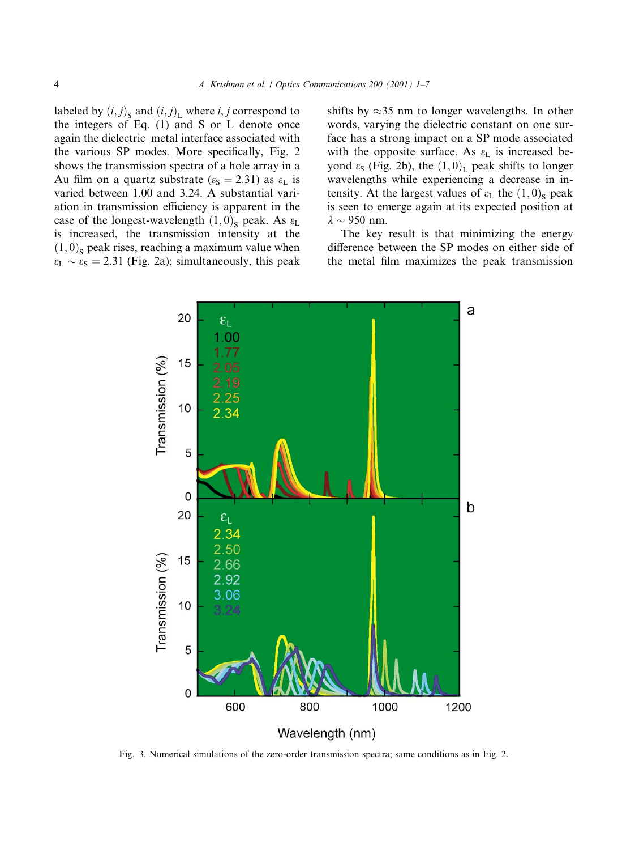labeled by  $(i, j)_{S}$  and  $(i, j)_{L}$  where *i*, *j* correspond to the integers of Eq.  $(1)$  and S or L denote once again the dielectric-metal interface associated with the various SP modes. More specifically, Fig. 2 shows the transmission spectra of a hole array in a Au film on a quartz substrate ( $\varepsilon_{\rm S} = 2.31$ ) as  $\varepsilon_{\rm L}$  is varied between 1.00 and 3.24. A substantial variation in transmission efficiency is apparent in the case of the longest-wavelength  $(1,0)$ <sub>S</sub> peak. As  $\varepsilon_L$ is increased, the transmission intensity at the  $(1,0)$ , peak rises, reaching a maximum value when  $\varepsilon_{\rm L} \sim \varepsilon_{\rm S} = 2.31$  (Fig. 2a); simultaneously, this peak

shifts by  $\approx$ 35 nm to longer wavelengths. In other words, varying the dielectric constant on one surface has a strong impact on a SP mode associated with the opposite surface. As  $\varepsilon_L$  is increased beyond  $\varepsilon_{S}$  (Fig. 2b), the  $(1,0)$ <sub>L</sub> peak shifts to longer wavelengths while experiencing a decrease in intensity. At the largest values of  $\varepsilon_L$  the  $(1,0)$ <sub>S</sub> peak is seen to emerge again at its expected position at  $\lambda \sim 950$  nm.

The key result is that minimizing the energy difference between the SP modes on either side of the metal film maximizes the peak transmission



Fig. 3. Numerical simulations of the zero-order transmission spectra; same conditions as in Fig. 2.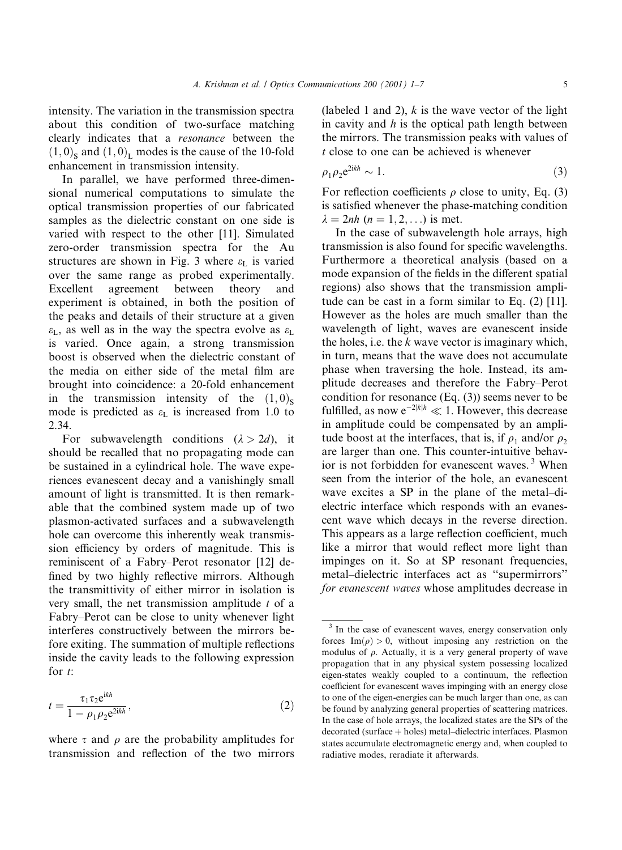intensity. The variation in the transmission spectra about this condition of two-surface matching clearly indicates that a *resonance* between the  $(1,0)$ , and  $(1,0)$ , modes is the cause of the 10-fold enhancement in transmission intensity.

In parallel, we have performed three-dimensional numerical computations to simulate the optical transmission properties of our fabricated samples as the dielectric constant on one side is varied with respect to the other [11]. Simulated zero-order transmission spectra for the Au structures are shown in Fig. 3 where  $\varepsilon_L$  is varied over the same range as probed experimentally. Excellent agreement between theory and experiment is obtained, in both the position of the peaks and details of their structure at a given  $\varepsilon_L$ , as well as in the way the spectra evolve as  $\varepsilon_L$ is varied. Once again, a strong transmission boost is observed when the dielectric constant of the media on either side of the metal film are brought into coincidence: a 20-fold enhancement in the transmission intensity of the  $(1,0)$ . mode is predicted as  $\varepsilon_{\rm L}$  is increased from 1.0 to 2.34.

For subwavelength conditions  $(\lambda > 2d)$ , it should be recalled that no propagating mode can be sustained in a cylindrical hole. The wave experiences evanescent decay and a vanishingly small amount of light is transmitted. It is then remarkable that the combined system made up of two plasmon-activated surfaces and a subwavelength hole can overcome this inherently weak transmission efficiency by orders of magnitude. This is reminiscent of a Fabry-Perot resonator [12] defined by two highly reflective mirrors. Although the transmittivity of either mirror in isolation is very small, the net transmission amplitude  $t$  of a Fabry–Perot can be close to unity whenever light interferes constructively between the mirrors before exiting. The summation of multiple reflections inside the cavity leads to the following expression for  $t$ :

$$
t = \frac{\tau_1 \tau_2 e^{ikh}}{1 - \rho_1 \rho_2 e^{2ikh}},\tag{2}
$$

where  $\tau$  and  $\rho$  are the probability amplitudes for transmission and reflection of the two mirrors

(labeled 1 and 2),  $k$  is the wave vector of the light in cavity and  $h$  is the optical path length between the mirrors. The transmission peaks with values of *t* close to one can be achieved is whenever

$$
\rho_1 \rho_2 e^{2ikh} \sim 1. \tag{3}
$$

For reflection coefficients  $\rho$  close to unity, Eq. (3) is satisfied whenever the phase-matching condition  $\lambda = 2nh$  (*n* = 1, 2, ...) is met.

In the case of subwavelength hole arrays, high transmission is also found for specific wavelengths. Furthermore a theoretical analysis (based on a mode expansion of the fields in the different spatial regions) also shows that the transmission amplitude can be cast in a form similar to Eq.  $(2)$  [11]. However as the holes are much smaller than the wavelength of light, waves are evanescent inside the holes, i.e. the  $k$  wave vector is imaginary which, in turn, means that the wave does not accumulate phase when traversing the hole. Instead, its amplitude decreases and therefore the Fabry-Perot condition for resonance  $(Eq. (3))$  seems never to be fulfilled, as now  $e^{-2|k|h} \ll 1$ . However, this decrease in amplitude could be compensated by an amplitude boost at the interfaces, that is, if  $\rho_1$  and/or  $\rho_2$ are larger than one. This counter-intuitive behavior is not forbidden for evanescent waves.<sup>3</sup> When seen from the interior of the hole, an evanescent wave excites a SP in the plane of the metal-dielectric interface which responds with an evanescent wave which decays in the reverse direction. This appears as a large reflection coefficient, much like a mirror that would reflect more light than impinges on it. So at SP resonant frequencies, metal-dielectric interfaces act as "supermirrors" for evanescent waves whose amplitudes decrease in

<sup>&</sup>lt;sup>3</sup> In the case of evanescent waves, energy conservation only forces Im( $\rho$ ) > 0, without imposing any restriction on the modulus of  $\rho$ . Actually, it is a very general property of wave propagation that in any physical system possessing localized eigen-states weakly coupled to a continuum, the reflection coefficient for evanescent waves impinging with an energy close to one of the eigen-energies can be much larger than one, as can be found by analyzing general properties of scattering matrices. In the case of hole arrays, the localized states are the SPs of the decorated (surface + holes) metal-dielectric interfaces. Plasmon states accumulate electromagnetic energy and, when coupled to radiative modes, reradiate it afterwards.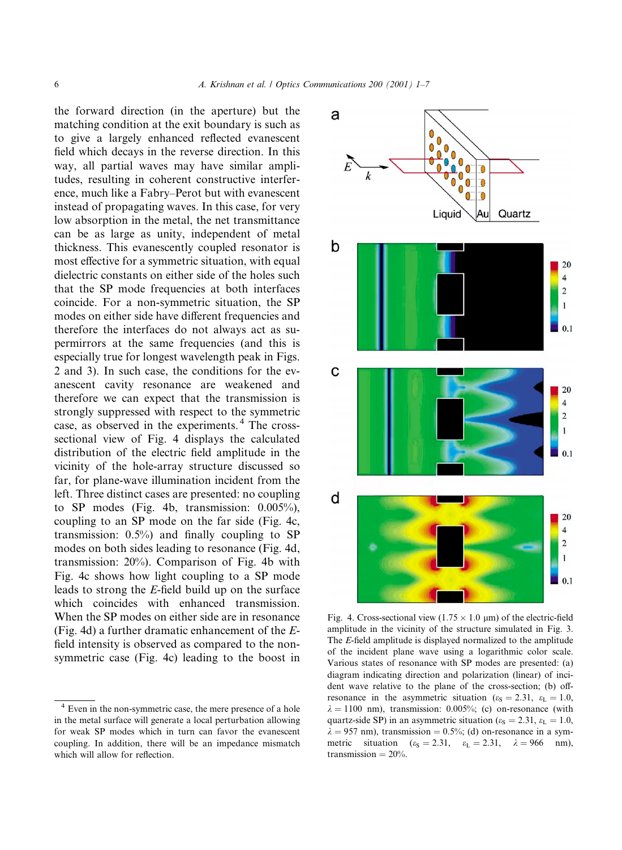the forward direction (in the aperture) but the matching condition at the exit boundary is such as to give a largely enhanced reflected evanescent field which decays in the reverse direction. In this way, all partial waves may have similar amplitudes, resulting in coherent constructive interference, much like a Fabry-Perot but with evanescent instead of propagating waves. In this case, for very low absorption in the metal, the net transmittance can be as large as unity, independent of metal thickness. This evanescently coupled resonator is most effective for a symmetric situation, with equal dielectric constants on either side of the holes such that the SP mode frequencies at both interfaces coincide. For a non-symmetric situation, the SP modes on either side have different frequencies and therefore the interfaces do not always act as supermirrors at the same frequencies (and this is especially true for longest wavelength peak in Figs. 2 and 3). In such case, the conditions for the evanescent cavity resonance are weakened and therefore we can expect that the transmission is strongly suppressed with respect to the symmetric case, as observed in the experiments.<sup>4</sup> The crosssectional view of Fig. 4 displays the calculated distribution of the electric field amplitude in the vicinity of the hole-array structure discussed so far, for plane-wave illumination incident from the left. Three distinct cases are presented: no coupling to SP modes (Fig. 4b, transmission:  $0.005\%$ ), coupling to an SP mode on the far side (Fig. 4c, transmission:  $0.5\%$ ) and finally coupling to SP modes on both sides leading to resonance (Fig. 4d, transmission: 20%). Comparison of Fig. 4b with Fig. 4c shows how light coupling to a SP mode leads to strong the E-field build up on the surface which coincides with enhanced transmission. When the SP modes on either side are in resonance (Fig. 4d) a further dramatic enhancement of the  $E$ field intensity is observed as compared to the nonsymmetric case (Fig. 4c) leading to the boost in



Fig. 4. Cross-sectional view (1.75  $\times$  1.0 µm) of the electric-field amplitude in the vicinity of the structure simulated in Fig. 3. The E-field amplitude is displayed normalized to the amplitude of the incident plane wave using a logarithmic color scale. Various states of resonance with SP modes are presented: (a) diagram indicating direction and polarization (linear) of incident wave relative to the plane of the cross-section; (b) offresonance in the asymmetric situation ( $\varepsilon_s = 2.31$ ,  $\varepsilon_L = 1.0$ ,  $\lambda = 1100$  nm), transmission: 0.005%; (c) on-resonance (with quartz-side SP) in an asymmetric situation ( $\varepsilon_s = 2.31$ ,  $\varepsilon_l = 1.0$ ,  $\lambda = 957$  nm), transmission = 0.5%; (d) on-resonance in a symmetric situation  $(\varepsilon_s = 2.31, \varepsilon_L = 2.31, \lambda = 966 \text{ nm})$ , transmission =  $20\%$ .

<sup>&</sup>lt;sup>4</sup> Even in the non-symmetric case, the mere presence of a hole in the metal surface will generate a local perturbation allowing for weak SP modes which in turn can favor the evanescent coupling. In addition, there will be an impedance mismatch which will allow for reflection.